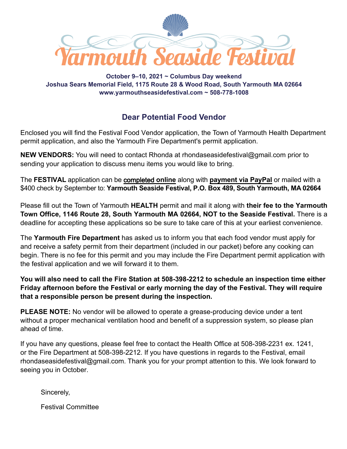

**October 9–10, 2021 ~ Columbus Day weekend Joshua Sears Memorial Field, 1175 Route 28 & Wood Road, South Yarmouth MA 02664 www.yarmouthseasidefestival.com ~ 508-778-1008** 

## **Dear Potential Food Vendor**

Enclosed you will find the Festival Food Vendor application, the Town of Yarmouth Health Department permit application, and also the Yarmouth Fire Department's permit application.

**NEW VENDORS:** You will need to contact Rhonda at **RQDB**RWKHDVBIHVWYDOFRP prior to sending your application to discuss menu items you would like to bring.

The **FESTIVAL** application can be [completed](https://yarmouthseasidefestival.com/2021-vendor-details/2021-food-vendor-application/) **online** along with a \$400 **[payment via](https://yarmouthseasidefestival.com/vendor-payment/) PayPal** or fill out the forms in this pdf and mail with a check by September to: **Yarmouth Seaside Festival, P.O. Box 489, South Yarmouth, MA 02664**

Please fill out the Town of Yarmouth **HEALTH** permit and mail it along with **their fee to the Yarmouth Town Office, 1146 Route 28, South Yarmouth MA 02664, NOT to the Seaside Festival.** There is a deadline for accepting these applications so be sure to take care of this at your earliest convenience. *This form cannot be completed online.* 

The **Yarmouth Fire Department** has asked us to inform you that each food vendor must apply for and receive a safety permit from their department (included in our packet) before any cooking can begin. There is no fee for this permit and you may include the Fire Department permit application with the festival application and we will forward it to them. *This form cannot be completed online.* 

**You will also need to call the Fire Station at 508-398-2212 to schedule an inspection time either Friday afternoon before the Festival or early morning the day of the Festival. They will require that a responsible person be present during the inspection.** 

**PLEASE NOTE:** No vendor will be allowed to operate a grease-producing device under a tent without a proper mechanical ventilation hood and benefit of a suppression system, so please plan ahead of time.

If you have any questions, please feel free to contact the Health Office at 508-398-2231 ex. 1241, or the Fire Department at 508-398-2212. If you have questions in regards to the Festival, email **EQDERWKHDVBIHVWLYDOFRP** . Thank you for your prompt attention to this. We look forward to seeing you in October.

Sincerely,

Festival Committee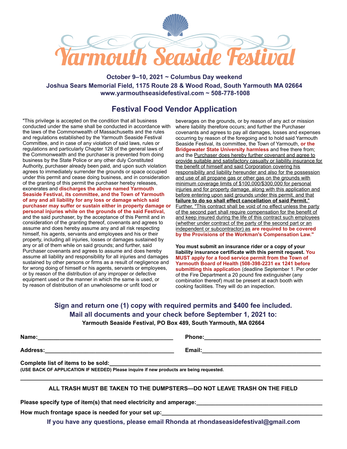

**October 9–10, 2021 ~ Columbus Day weekend Joshua Sears Memorial Field, 1175 Route 28 & Wood Road, South Yarmouth MA 02664 www.yarmouthseasidefestival.com ~ 508-778-1008** 

## **Festival Food Vendor Application**

"This privilege is accepted on the condition that all business conducted under the same shall be conducted in accordance with the laws of the Commonwealth of Massachusetts and the rules and regulations established by the Yarmouth Seaside Festival Committee, and in case of any violation of said laws, rules or regulations and particularly Chapter 128 of the general laws of the Commonwealth and the purchaser is prevented from doing business by the State Police or any other duly Constituted Authority, purchaser already been paid, and upon such violation agrees to immediately surrender the grounds or space occupied under this permit and cease doing business, and in consideration of the granting of this permit the purchaser hereby releases, exonerates and **discharges the above named Yarmouth Seaside Festival, its committee, and the Town of Yarmouth of any and all liability for any loss or damage which said purchaser may suffer or sustain either in property damage or personal injuries while on the grounds of the said Festival,** and the said purchaser, by the acceptance of this Permit and in consideration of the granting thereof, covenants and agrees to assume and does hereby assume any and all risk respecting himself, his agents, servants and employees and his or their property, including all injuries, losses or damages sustained by any or all of them while on said grounds; and further, said Purchaser covenants and agrees to assume and does hereby assume all liability and responsibility for all injuries and damages sustained by other persons or firms as a result of negligence and for wrong doing of himself or his agents, servants or employees, or by reason of the distribution of any improper or defective equipment used or the manner in which the same is used, or by reason of distribution of an unwholesome or unfit food or

beverages on the grounds, or by reason of any act or mission where liability therefore occurs; and further the Purchaser covenants and agrees to pay all damages, losses and expenses occurring by reason of the foregoing and to hold said Yarmouth Seaside Festival, its committee, the Town of Yarmouth, **or the Bridgewater State University harmless** and free there from; and the Purchaser does hereby further covenant and agree to provide suitable and satisfactory casualty or liability insurance for the benefit of himself and said Corporation covering his responsibility and liability hereunder and also for the possession and use of all propane gas or other gas on the grounds with minimum coverage limits of \$100,000/\$300,000 for personal injuries and for property damage, along with this application and before entering upon said grounds under this permit, and that **failure to do so shall effect cancellation of said Permit.**" Further, "This contract shall be void of no effect unless the party of the second part shall require compensation for the benefit of and keep insured during the life of this contract such employees (whether under contract of the party of the second part or an independent or subcontractor) as **are required to be covered by the Provisions of the Workman's Compensation Law."** 

**You must submit an insurance rider or a copy of your liability insurance certificate with this permit request. You MUST apply for a food service permit from the Town of Yarmouth Board of Health (508-398-2231 ex 1241 before submitting this application** (deadline September 1. Per order of the Fire Department a 20 pound fire extinguisher (any combination thereof) must be present at each booth with cooking facilities. They will do an inspection.

**Sign and return one (1) copy with required permits and \$400 fee included. Mail all documents and your check before September 1, 2021 to: Yarmouth Seaside Festival, PO Box 489, South Yarmouth, MA 02664** 

**Name:\_\_\_\_\_\_\_\_\_\_\_\_\_\_\_\_\_\_\_\_\_\_\_\_\_\_\_\_\_\_\_\_\_\_\_\_\_\_\_\_\_\_\_ Phone:\_\_\_\_\_\_\_\_\_\_\_\_\_\_\_\_\_\_\_\_\_\_\_\_\_\_\_\_\_\_\_\_\_\_\_\_\_** 

**Address:\_\_\_\_\_\_\_\_\_\_\_\_\_\_\_\_\_\_\_\_\_\_\_\_\_\_\_\_\_\_\_\_\_\_\_\_\_\_\_\_\_ Email:\_\_\_\_\_\_\_\_\_\_\_\_\_\_\_\_\_\_\_\_\_\_\_\_\_\_\_\_\_\_\_\_\_\_\_\_\_\_** 

Complete list of items to be sold:

**(USE BACK OF APPLICATION IF NEEDED) Please inquire if new products are being requested.** 

### **ALL TRASH MUST BE TAKEN TO THE DUMPSTERS—DO NOT LEAVE TRASH ON THE FIELD**

**\_\_\_\_\_\_\_\_\_\_\_\_\_\_\_\_\_\_\_\_\_\_\_\_\_\_\_\_\_\_\_\_\_\_\_\_\_\_\_\_\_\_\_\_\_\_\_\_\_\_\_\_\_\_\_\_\_\_\_\_\_\_\_\_\_\_\_\_\_\_\_\_\_\_\_\_\_\_\_\_\_\_\_\_\_\_\_\_\_\_\_\_\_\_\_\_** 

**Please specify type of item(s) that need electricity and amperage:\_\_\_\_\_\_\_\_\_\_\_\_\_\_\_\_\_\_\_\_\_\_\_\_\_\_\_\_\_\_\_\_\_\_\_\_\_\_\_\_** 

How much frontage space is needed for your set up:

**If you have any questions, please email Rhonda at rhonda@yarmouthseasidefestival.com**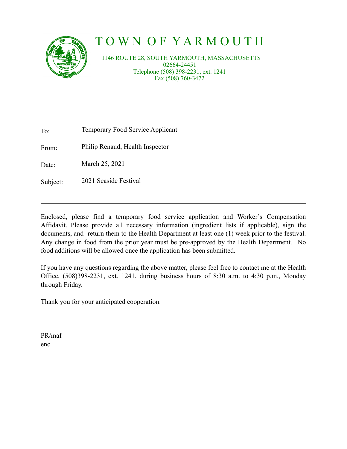

# T O W N O F Y A R M O U T H

 1146 ROUTE 28, SOUTH YARMOUTH, MASSACHUSETTS 02664-24451 Telephone (508) 398-2231, ext. 1241 Fax (508) 760-3472

To: Temporary Food Service Applicant

From: Philip Renaud, Health Inspector

Date: March 25, 2021

Subject: 2021 Seaside Festival

Enclosed, please find a temporary food service application and Worker's Compensation Affidavit. Please provide all necessary information (ingredient lists if applicable), sign the documents, and return them to the Health Department at least one (1) week prior to the festival. Any change in food from the prior year must be pre-approved by the Health Department. No food additions will be allowed once the application has been submitted.

If you have any questions regarding the above matter, please feel free to contact me at the Health Office, (508)398-2231, ext. 1241, during business hours of 8:30 a.m. to 4:30 p.m., Monday through Friday.

Thank you for your anticipated cooperation.

PR/maf enc.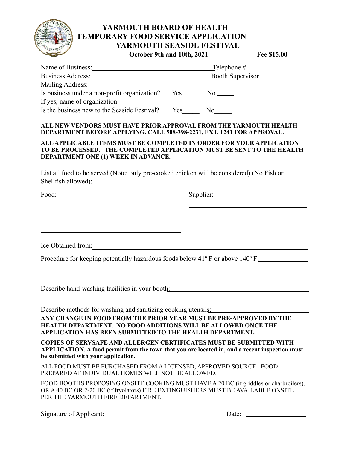

## **YARMOUTH BOARD OF HEALTH TEMPORARY FOOD SERVICE APPLICATION YARMOUTH SEASIDE FESTIVAL October 9th and 10th, 2021 Fee \$15.00**

| Name of Business:                                                                                                                                                                                                              | Booth Supervisor      |     |  |
|--------------------------------------------------------------------------------------------------------------------------------------------------------------------------------------------------------------------------------|-----------------------|-----|--|
| Business Address: No. 1996. The Second State State State State State State State State State State State State State State State State State State State State State State State State State State State State State State Sta |                       |     |  |
| Mailing Address:                                                                                                                                                                                                               |                       |     |  |
| Is business under a non-profit organization?                                                                                                                                                                                   | $Yes$ <sub>____</sub> | No  |  |
| If yes, name of organization:                                                                                                                                                                                                  |                       |     |  |
| Is the business new to the Seaside Festival?                                                                                                                                                                                   | Yes                   | No. |  |

### **ALL NEW VENDORS MUST HAVE PRIOR APPROVAL FROM THE YARMOUTH HEALTH DEPARTMENT BEFORE APPLYING. CALL 508-398-2231, EXT. 1241 FOR APPROVAL.**

#### **ALL APPLICABLE ITEMS MUST BE COMPLETED IN ORDER FOR YOUR APPLICATION TO BE PROCESSED. THE COMPLETED APPLICATION MUST BE SENT TO THE HEALTH DEPARTMENT ONE (1) WEEK IN ADVANCE.**

List all food to be served (Note: only pre-cooked chicken will be considered) (No Fish or Shellfish allowed):

| Food:<br><u> 1980 - Johann Barbara, martin amerikan ba</u> |  |
|------------------------------------------------------------|--|
|                                                            |  |
|                                                            |  |
|                                                            |  |
| Ice Obtained from:                                         |  |

Procedure for keeping potentially hazardous foods below 41º F or above 140º F:

Describe hand-washing facilities in your booth:

Describe methods for washing and sanitizing cooking utensils:

**ANY CHANGE IN FOOD FROM THE PRIOR YEAR MUST BE PRE-APPROVED BY THE HEALTH DEPARTMENT. NO FOOD ADDITIONS WILL BE ALLOWED ONCE THE APPLICATION HAS BEEN SUBMITTED TO THE HEALTH DEPARTMENT.** 

**COPIES OF SERVSAFE AND ALLERGEN CERTIFICATES MUST BE SUBMITTED WITH APPLICATION. A food permit from the town that you are located in, and a recent inspection must be submitted with your application.** 

ALL FOOD MUST BE PURCHASED FROM A LICENSED, APPROVED SOURCE. FOOD PREPARED AT INDIVIDUAL HOMES WILL NOT BE ALLOWED.

FOOD BOOTHS PROPOSING ONSITE COOKING MUST HAVE A 20 BC (if griddles or charbroilers), OR A 40 BC OR 2-20 BC (if fryolators) FIRE EXTINGUISHERS MUST BE AVAILABLE ONSITE PER THE YARMOUTH FIRE DEPARTMENT.

Signature of Applicant: <u>Date:</u> Date: 2014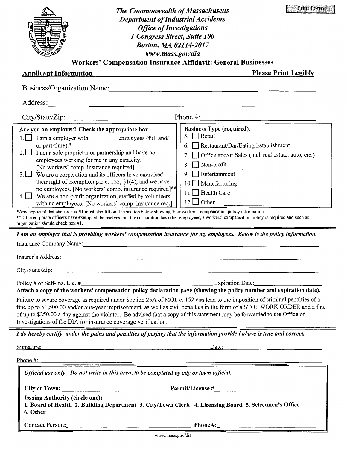| <b>Print Form</b><br><b>The Commonwealth of Massachusetts</b><br><b>Department of Industrial Accidents</b><br><b>Office of Investigations</b><br>1 Congress Street, Suite 100<br><b>Boston, MA 02114-2017</b><br>www.mass.gov/dia<br><b>Workers' Compensation Insurance Affidavit: General Businesses</b>                                                                                                                                                                                                                                                                                                                                                                                                                                                                                                                                                                                                                                                                                                                                                                                                                                                                                                                                                                                                                            |
|--------------------------------------------------------------------------------------------------------------------------------------------------------------------------------------------------------------------------------------------------------------------------------------------------------------------------------------------------------------------------------------------------------------------------------------------------------------------------------------------------------------------------------------------------------------------------------------------------------------------------------------------------------------------------------------------------------------------------------------------------------------------------------------------------------------------------------------------------------------------------------------------------------------------------------------------------------------------------------------------------------------------------------------------------------------------------------------------------------------------------------------------------------------------------------------------------------------------------------------------------------------------------------------------------------------------------------------|
| <b>Applicant Information</b><br><b>Please Print Legibly</b>                                                                                                                                                                                                                                                                                                                                                                                                                                                                                                                                                                                                                                                                                                                                                                                                                                                                                                                                                                                                                                                                                                                                                                                                                                                                          |
| Business/Organization Name:                                                                                                                                                                                                                                                                                                                                                                                                                                                                                                                                                                                                                                                                                                                                                                                                                                                                                                                                                                                                                                                                                                                                                                                                                                                                                                          |
| Address:                                                                                                                                                                                                                                                                                                                                                                                                                                                                                                                                                                                                                                                                                                                                                                                                                                                                                                                                                                                                                                                                                                                                                                                                                                                                                                                             |
| City/State/Zip:<br>Phone $\#$ :                                                                                                                                                                                                                                                                                                                                                                                                                                                                                                                                                                                                                                                                                                                                                                                                                                                                                                                                                                                                                                                                                                                                                                                                                                                                                                      |
| <b>Business Type (required):</b><br>Are you an employer? Check the appropriate box:<br>5. $\Box$ Retail<br>I am a employer with employees (full and/<br>or part-time).*<br>Restaurant/Bar/Eating Establishment<br>I am a sole proprietor or partnership and have no<br>2.1<br>Office and/or Sales (incl. real estate, auto, etc.)<br>employees working for me in any capacity.<br>Non-profit<br>8.<br>[No workers' comp. insurance required]<br>Entertainment<br>3.<br>We are a corporation and its officers have exercised<br>9.<br>their right of exemption per c. 152, $\S1(4)$ , and we have<br>Manufacturing<br>10.1<br>no employees. [No workers' comp. insurance required]**<br>Health Care<br>11.1<br>We are a non-profit organization, staffed by volunteers,<br>4.1 <sub>1</sub><br>12.1<br>$\Box$ Other<br>with no employees. [No workers' comp. insurance req.]<br>*Any applicant that checks box #1 must also fill out the section below showing their workers' compensation policy information.<br>**If the corporate officers have exempted themselves, but the corporation has other employees, a workers' compensation policy is required and such an<br>organization should check box #1.<br>I am an employer that is providing workers' compensation insurance for my employees. Below is the policy information. |
| Insurance Company Name:                                                                                                                                                                                                                                                                                                                                                                                                                                                                                                                                                                                                                                                                                                                                                                                                                                                                                                                                                                                                                                                                                                                                                                                                                                                                                                              |
| Insurer's Address:<br><u> 1980 - Jan Sterling von Berling von Berling von Berling von Berling von Berling von Berling von Berling von B</u>                                                                                                                                                                                                                                                                                                                                                                                                                                                                                                                                                                                                                                                                                                                                                                                                                                                                                                                                                                                                                                                                                                                                                                                          |
| City/State/Zip:<br>Attach a copy of the workers' compensation policy declaration page (showing the policy number and expiration date).<br>Failure to secure coverage as required under Section 25A of MGL c. 152 can lead to the imposition of criminal penalties of a<br>fine up to \$1,500.00 and/or one-year imprisonment, as well as civil penalties in the form of a STOP WORK ORDER and a fine<br>of up to \$250.00 a day against the violator. Be advised that a copy of this statement may be forwarded to the Office of<br>Investigations of the DIA for insurance coverage verification.                                                                                                                                                                                                                                                                                                                                                                                                                                                                                                                                                                                                                                                                                                                                   |
| I do hereby certify, under the pains and penalties of perjury that the information provided above is true and correct.                                                                                                                                                                                                                                                                                                                                                                                                                                                                                                                                                                                                                                                                                                                                                                                                                                                                                                                                                                                                                                                                                                                                                                                                               |
| Signature:<br>Date: $\qquad \qquad$ $\qquad \qquad$ $\qquad \qquad$ $\qquad \qquad$ $\qquad \qquad$ $\qquad \qquad$ $\qquad \qquad$ $\qquad \qquad$ $\qquad \qquad$ $\qquad$ $\qquad \qquad$ $\qquad$ $\qquad \qquad$ $\qquad$ $\qquad$ $\qquad$ $\qquad$ $\qquad$ $\qquad$ $\qquad$ $\qquad$ $\qquad$ $\qquad$ $\qquad$ $\qquad$ $\qquad$ $\qquad$ $\qquad$ $\qquad$ $\qquad$ $\$                                                                                                                                                                                                                                                                                                                                                                                                                                                                                                                                                                                                                                                                                                                                                                                                                                                                                                                                                   |
| Phone $#$ :                                                                                                                                                                                                                                                                                                                                                                                                                                                                                                                                                                                                                                                                                                                                                                                                                                                                                                                                                                                                                                                                                                                                                                                                                                                                                                                          |
| Official use only. Do not write in this area, to be completed by city or town official.                                                                                                                                                                                                                                                                                                                                                                                                                                                                                                                                                                                                                                                                                                                                                                                                                                                                                                                                                                                                                                                                                                                                                                                                                                              |
| <b>Issuing Authority (circle one):</b><br>1. Board of Health 2. Building Department 3. City/Town Clerk 4. Licensing Board 5. Selectmen's Office<br>6. Other                                                                                                                                                                                                                                                                                                                                                                                                                                                                                                                                                                                                                                                                                                                                                                                                                                                                                                                                                                                                                                                                                                                                                                          |
| Contact Person: Phone #:                                                                                                                                                                                                                                                                                                                                                                                                                                                                                                                                                                                                                                                                                                                                                                                                                                                                                                                                                                                                                                                                                                                                                                                                                                                                                                             |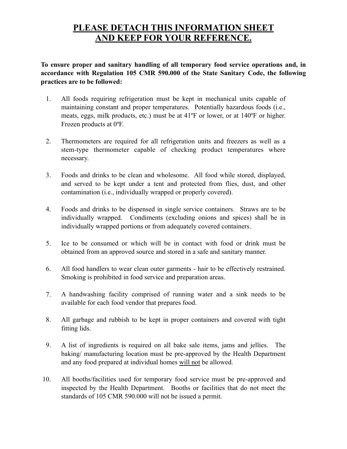# **PLEASE DETACH THIS INFORMATION SHEET AND KEEP FOR YOUR REFERENCE.**

**To ensure proper and sanitary handling of all temporary food service operations and, in accordance with Regulation 105 CMR 590.000 of the State Sanitary Code, the following practices are to be followed:** 

- 1. All foods requiring refrigeration must be kept in mechanical units capable of maintaining constant and proper temperatures. Potentially hazardous foods (i.e., meats, eggs, milk products, etc.) must be at 41ºF or lower, or at 140ºF or higher. Frozen products at 0ºF.
- 2. Thermometers are required for all refrigeration units and freezers as well as a stem-type thermometer capable of checking product temperatures where necessary.
- 3. Foods and drinks to be clean and wholesome. All food while stored, displayed, and served to be kept under a tent and protected from flies, dust, and other contamination (i.e., individually wrapped or properly covered).
- 4. Foods and drinks to be dispensed in single service containers. Straws are to be individually wrapped. Condiments (excluding onions and spices) shall be in individually wrapped portions or from adequately covered containers.
- 5. Ice to be consumed or which will be in contact with food or drink must be obtained from an approved source and stored in a safe and sanitary manner.
- 6. All food handlers to wear clean outer garments hair to be effectively restrained. Smoking is prohibited in food service and preparation areas.
- 7. A handwashing facility comprised of running water and a sink needs to be available for each food vendor that prepares food.
- 8. All garbage and rubbish to be kept in proper containers and covered with tight fitting lids.
- 9. A list of ingredients is required on all bake sale items, jams and jellies. The baking/ manufacturing location must be pre-approved by the Health Department and any food prepared at individual homes will not be allowed.
- 10. All booths/facilities used for temporary food service must be pre-approved and inspected by the Health Department. Booths or facilities that do not meet the standards of 105 CMR 590.000 will not be issued a permit.